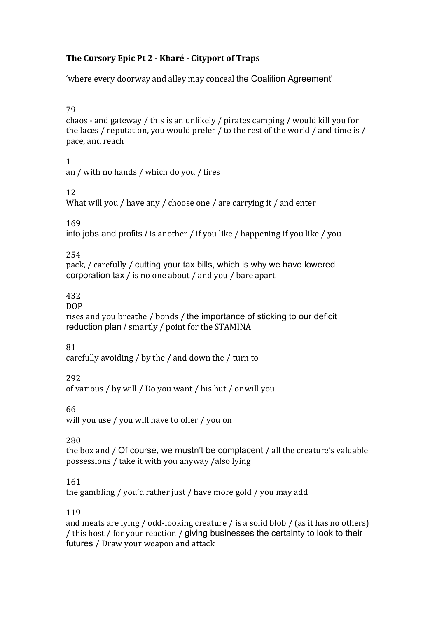### The Cursory Epic Pt 2 - Kharé - Cityport of Traps

'where every doorway and alley may conceal the Coalition Agreement'

79

chaos - and gateway / this is an unlikely / pirates camping / would kill you for the laces / reputation, you would prefer / to the rest of the world / and time is / pace, and reach

 $\mathbf{1}$ 

an / with no hands / which do you / fires

 $12.$ 

What will you / have any / choose one / are carrying it / and enter

169

into jobs and profits / is another / if you like / happening if you like / you

254

pack, / carefully / cutting your tax bills, which is why we have lowered corporation tax / is no one about / and you / bare apart

432

**DOP** 

rises and you breathe / bonds / the importance of sticking to our deficit reduction plan / smartly / point for the STAMINA

81

carefully avoiding / by the / and down the / turn to

292

of various / by will / Do you want / his hut / or will you

66

will you use / you will have to offer / you on

280

the box and / Of course, we mustn't be complacent / all the creature's valuable possessions / take it with you anyway / also lying

### 161

the gambling / you'd rather just / have more gold / you may add

119

and meats are lying / odd-looking creature / is a solid blob / (as it has no others) / this host / for your reaction / giving businesses the certainty to look to their futures / Draw your weapon and attack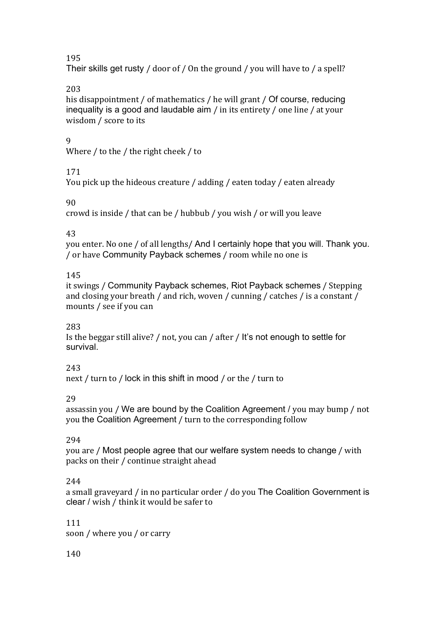195

Their skills get rusty / door of / On the ground / you will have to / a spell?

# 203

his disappointment / of mathematics / he will grant / Of course, reducing inequality is a good and laudable aim / in its entirety / one line / at your wisdom / score to its

# $\mathbf{q}$

Where / to the / the right cheek / to

# 171

You pick up the hideous creature / adding / eaten today / eaten already

# 90

crowd is inside / that can be / hubbub / you wish / or will you leave

# 43

you enter. No one / of all lengths/ And I certainly hope that you will. Thank you. / or have Community Payback schemes / room while no one is

# 145

it swings / Community Payback schemes, Riot Payback schemes / Stepping and closing your breath / and rich, woven / cunning / catches / is a constant / mounts / see if you can

# 283

Is the beggar still alive? / not, you can / after / It's not enough to settle for survival.

# 243

next / turn to / lock in this shift in mood / or the / turn to

# 29

assassin you / We are bound by the Coalition Agreement / you may bump / not you the Coalition Agreement / turn to the corresponding follow

# 294

you are / Most people agree that our welfare system needs to change / with packs on their / continue straight ahead

# 244

a small graveyard / in no particular order / do you The Coalition Government is clear / wish / think it would be safer to

# 111

soon / where you / or carry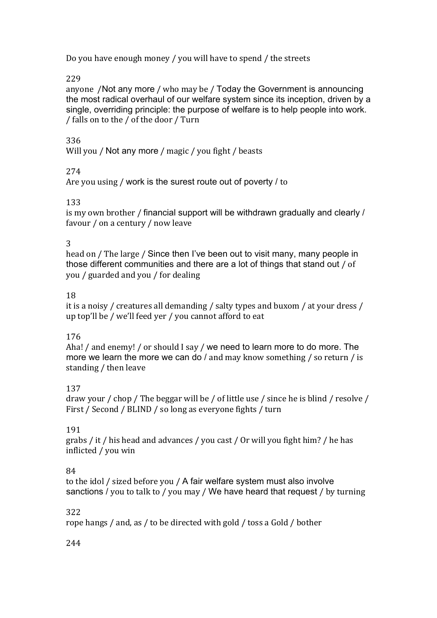Do you have enough money / you will have to spend / the streets

229

anyone /Not any more / who may be / Today the Government is announcing the most radical overhaul of our welfare system since its inception, driven by a single, overriding principle: the purpose of welfare is to help people into work. / falls on to the / of the door / Turn

# 336

Will you / Not any more / magic / you fight / beasts

# 274

Are you using / work is the surest route out of poverty / to

### 133

is my own brother / financial support will be withdrawn gradually and clearly / favour / on a century / now leave

### 3

head on / The large / Since then I've been out to visit many, many people in those different communities and there are a lot of things that stand out / of you / guarded and you / for dealing

### 18

it is a noisy / creatures all demanding / salty types and buxom / at your dress / up top'll be / we'll feed yer / you cannot afford to eat

# 176

Aha! / and enemy! / or should I say / we need to learn more to do more. The more we learn the more we can do  $/$  and may know something  $/$  so return  $/$  is standing / then leave

# 137

draw your / chop / The beggar will be / of little use / since he is blind / resolve / First / Second / BLIND / so long as everyone fights / turn

# 191

grabs / it / his head and advances / you cast / Or will you fight him? / he has inflicted / you win

# 84

to the idol / sized before you / A fair welfare system must also involve sanctions / you to talk to / you may / We have heard that request / by turning

# 322

rope hangs / and, as / to be directed with gold / toss a Gold / bother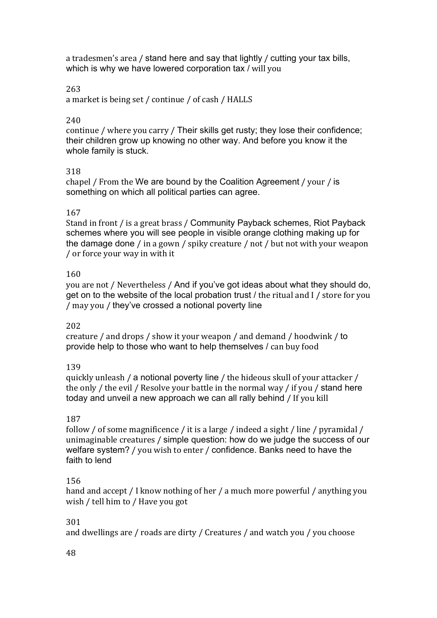a tradesmen's area / stand here and say that lightly / cutting your tax bills, which is why we have lowered corporation tax / will you

#### 263

a market is being set / continue / of cash / HALLS

#### 240

continue / where you carry / Their skills get rusty; they lose their confidence; their children grow up knowing no other way. And before you know it the whole family is stuck.

#### 318

chapel / From the We are bound by the Coalition Agreement / your / is something on which all political parties can agree.

#### 167

Stand in front / is a great brass / Community Payback schemes, Riot Payback schemes where you will see people in visible orange clothing making up for the damage done / in a gown / spiky creature / not / but not with your weapon / or force your way in with it

#### 160

you are not / Nevertheless / And if you've got ideas about what they should do, get on to the website of the local probation trust  $\ell$  the ritual and I  $\ell$  store for you / may you / they've crossed a notional poverty line

#### 202

creature / and drops / show it your weapon / and demand / hoodwink / to provide help to those who want to help themselves / can buy food

#### 139

quickly unleash / a notional poverty line / the hideous skull of your attacker / the only / the evil / Resolve your battle in the normal way / if you / stand here today and unveil a new approach we can all rally behind / If you kill

#### 187

follow / of some magnificence / it is a large / indeed a sight / line / pyramidal / unimaginable creatures / simple question: how do we judge the success of our welfare system? / you wish to enter / confidence. Banks need to have the faith to lend

#### 156

hand and accept / I know nothing of her / a much more powerful / anything you wish / tell him to / Have you got

#### 301

and dwellings are / roads are dirty / Creatures / and watch you / you choose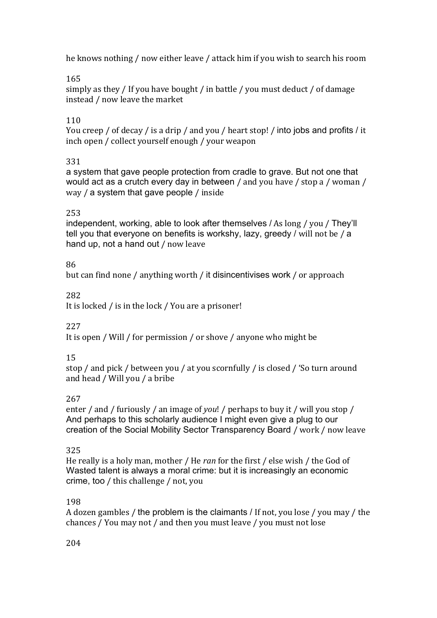he knows nothing / now either leave / attack him if you wish to search his room

# 165

simply as they / If you have bought / in battle / you must deduct / of damage instead / now leave the market

# 110

You creep / of decay / is a drip / and you / heart stop! / into jobs and profits / it inch open / collect yourself enough / your weapon

# 331

a system that gave people protection from cradle to grave. But not one that would act as a crutch every day in between / and you have / stop a / woman / way / a system that gave people / inside

# 253

independent, working, able to look after themselves / As long / you / They'll tell you that everyone on benefits is workshy, lazy, greedy / will not be / a hand up, not a hand out / now leave

# 86

but can find none / anything worth / it disincentivises work / or approach

# 282

It is locked / is in the lock / You are a prisoner!

# 227

It is open / Will / for permission / or shove / anyone who might be

# 15

stop / and pick / between you / at you scornfully / is closed / 'So turn around and head / Will you / a bribe

# 267

enter / and / furiously / an image of *you*! / perhaps to buy it / will you stop / And perhaps to this scholarly audience I might even give a plug to our creation of the Social Mobility Sector Transparency Board / work / now leave

# 325

He really is a holy man, mother / He *ran* for the first / else wish / the God of Wasted talent is always a moral crime: but it is increasingly an economic crime, too / this challenge / not, you

# 198

A dozen gambles / the problem is the claimants / If not, you lose / you may / the chances / You may not / and then you must leave / you must not lose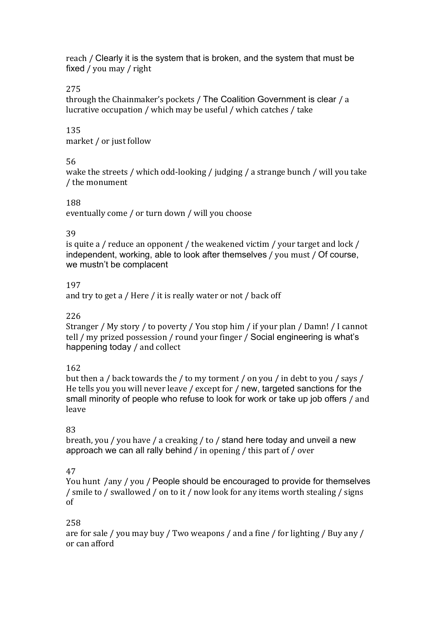reach / Clearly it is the system that is broken, and the system that must be fixed / you may / right

#### 275

through the Chainmaker's pockets / The Coalition Government is clear / a lucrative occupation / which may be useful / which catches / take

### 135

market / or just follow

#### 56

wake the streets / which odd-looking / judging / a strange bunch / will you take / the monument

#### 188

eventually come / or turn down / will you choose

#### 39

is quite a / reduce an opponent / the weakened victim / your target and lock / independent, working, able to look after themselves / you must / Of course, we mustn't be complacent

#### 197

and try to get a / Here / it is really water or not / back off

#### 226

Stranger / My story / to poverty / You stop him / if your plan / Damn! / I cannot tell / my prized possession / round your finger / Social engineering is what's happening today / and collect

### 162

but then a / back towards the / to my torment / on you / in debt to you / says / He tells you you will never leave / except for / new, targeted sanctions for the small minority of people who refuse to look for work or take up job offers / and leave

### 83

breath, you / you have / a creaking / to / stand here today and unveil a new approach we can all rally behind / in opening / this part of / over

### 47

You hunt /any / you / People should be encouraged to provide for themselves / smile to / swallowed / on to it / now look for any items worth stealing / signs of!

### 258

are for sale / you may buy / Two weapons / and a fine / for lighting / Buy any / or!can!afford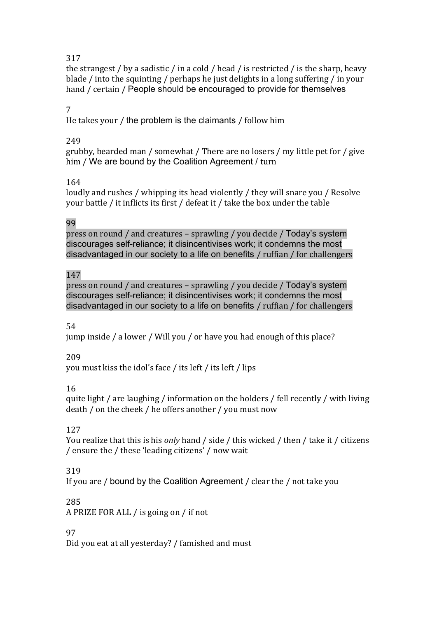### 317

the strangest / by a sadistic / in a cold / head / is restricted / is the sharp, heavy blade / into the squinting / perhaps he just delights in a long suffering / in your hand / certain / People should be encouraged to provide for themselves

### 7

He takes your / the problem is the claimants / follow him

### 249

grubby, bearded man / somewhat / There are no losers / my little pet for / give him / We are bound by the Coalition Agreement / turn

# 164

loudly and rushes / whipping its head violently / they will snare you / Resolve your battle / it inflicts its first / defeat it / take the box under the table

### 99

press on round / and creatures – sprawling / you decide / Today's system discourages self-reliance; it disincentivises work; it condemns the most disadvantaged in our society to a life on benefits / ruffian / for challengers

### 147

press on round / and creatures – sprawling / you decide / Today's system discourages self-reliance; it disincentivises work; it condemns the most disadvantaged in our society to a life on benefits / ruffian / for challengers

### 54

jump inside / a lower / Will you / or have you had enough of this place?

### 209

you must kiss the idol's face / its left / its left / lips

# 16

quite light / are laughing / information on the holders / fell recently / with living death / on the cheek / he offers another / you must now

### 127

You realize that this is his *only* hand / side / this wicked / then / take it / citizens / ensure the / these 'leading citizens' / now wait

# 319

If you are / bound by the Coalition Agreement / clear the / not take you

# 285

A PRIZE FOR ALL / is going on / if not

### 97

Did you eat at all yesterday? / famished and must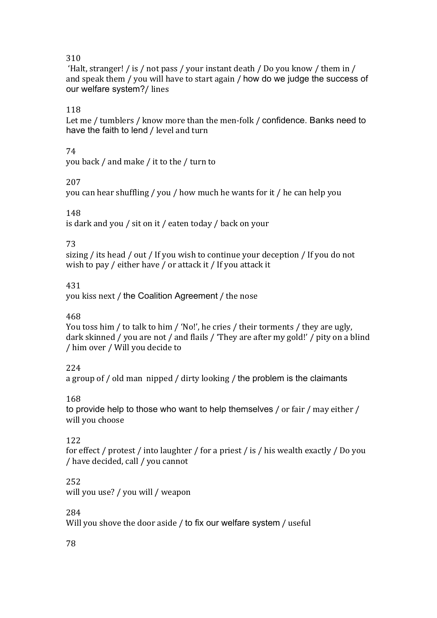### 310

'Halt, stranger! / is / not pass / your instant death / Do you know / them in / and speak them / you will have to start again / how do we judge the success of our welfare system?/lines

### 118

Let me / tumblers / know more than the men-folk / confidence. Banks need to have the faith to lend / level and turn

### 74

you back / and make / it to the / turn to

### 207

you can hear shuffling / you / how much he wants for it / he can help you

### 148

is dark and you / sit on it / eaten today / back on your

### 73

sizing / its head / out / If you wish to continue your deception / If you do not wish to pay / either have / or attack it / If you attack it

### 431

you kiss next / the Coalition Agreement / the nose

### 468

You toss him / to talk to him / 'No!', he cries / their torments / they are ugly. dark skinned / you are not / and flails / 'They are after my gold!' / pity on a blind / him over / Will you decide to

# 224

a group of / old man nipped / dirty looking / the problem is the claimants

# 168

to provide help to those who want to help themselves / or fair / may either / will you choose

# 122

for effect / protest / into laughter / for a priest / is / his wealth exactly / Do you / have decided, call / you cannot

### 252

will you use? / you will / weapon

### 284

Will you shove the door aside / to fix our welfare system / useful